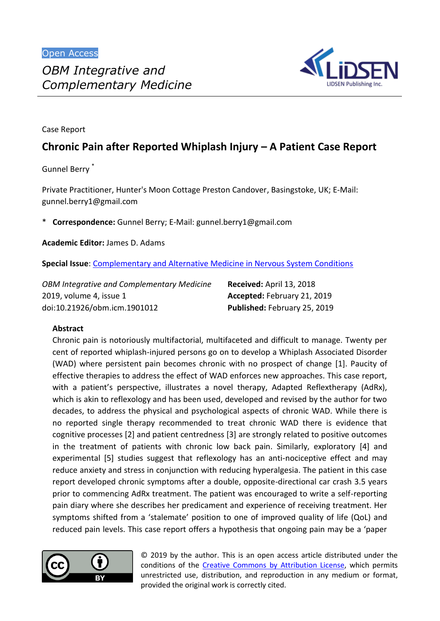

Case Report

# **Chronic Pain after Reported Whiplash Injury – A Patient Case Report**

Gunnel Berry \*

Private Practitioner, Hunter's Moon Cottage Preston Candover, Basingstoke, UK; E-Mail: gunnel.berry1@gmail.com

\* **Correspondence:** Gunnel Berry; E-Mail: gunnel.berry1@gmail.com

**Academic Editor:** James D. Adams

**Special Issue**: [Complementary and Alternative Medicine in Nervous System Conditions](http://www.lidsen.com/journals/icm/icm-special-issues/complement-alternat-med-nerv-syst-cond)

*OBM Integrative and Complementary Medicine* 2019, volume 4, issue 1 doi:10.21926/obm.icm.1901012

**Received:** April 13, 2018 **Accepted:** February 21, 2019 **Published:** February 25, 2019

### **Abstract**

Chronic pain is notoriously multifactorial, multifaceted and difficult to manage. Twenty per cent of reported whiplash-injured persons go on to develop a Whiplash Associated Disorder (WAD) where persistent pain becomes chronic with no prospect of change [1]. Paucity of effective therapies to address the effect of WAD enforces new approaches. This case report, with a patient's perspective, illustrates a novel therapy, Adapted Reflextherapy (AdRx), which is akin to reflexology and has been used, developed and revised by the author for two decades, to address the physical and psychological aspects of chronic WAD. While there is no reported single therapy recommended to treat chronic WAD there is evidence that cognitive processes [2] and patient centredness [3] are strongly related to positive outcomes in the treatment of patients with chronic low back pain. Similarly, exploratory [4] and experimental [5] studies suggest that reflexology has an anti-nociceptive effect and may reduce anxiety and stress in conjunction with reducing hyperalgesia. The patient in this case report developed chronic symptoms after a double, opposite-directional car crash 3.5 years prior to commencing AdRx treatment. The patient was encouraged to write a self-reporting pain diary where she describes her predicament and experience of receiving treatment. Her symptoms shifted from a 'stalemate' position to one of improved quality of life (QoL) and reduced pain levels. This case report offers a hypothesis that ongoing pain may be a 'paper



© 2019 by the author. This is an open access article distributed under the conditions of the Creative Commons by Attribution License, which permits unrestricted use, distribution, and reproduction in any medium or format, provided the original work is correctly cited.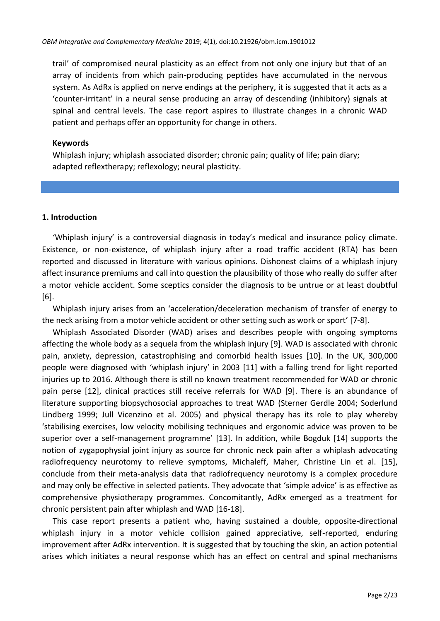trail' of compromised neural plasticity as an effect from not only one injury but that of an array of incidents from which pain-producing peptides have accumulated in the nervous system. As AdRx is applied on nerve endings at the periphery, it is suggested that it acts as a 'counter-irritant' in a neural sense producing an array of descending (inhibitory) signals at spinal and central levels. The case report aspires to illustrate changes in a chronic WAD patient and perhaps offer an opportunity for change in others.

#### **Keywords**

Whiplash injury; whiplash associated disorder; chronic pain; quality of life; pain diary; adapted reflextherapy; reflexology; neural plasticity.

#### **1. Introduction**

'Whiplash injury' is a controversial diagnosis in today's medical and insurance policy climate. Existence, or non-existence, of whiplash injury after a road traffic accident (RTA) has been reported and discussed in literature with various opinions. Dishonest claims of a whiplash injury affect insurance premiums and call into question the plausibility of those who really do suffer after a motor vehicle accident. Some sceptics consider the diagnosis to be untrue or at least doubtful [6].

Whiplash injury arises from an 'acceleration/deceleration mechanism of transfer of energy to the neck arising from a motor vehicle accident or other setting such as work or sport' [7-8].

Whiplash Associated Disorder (WAD) arises and describes people with ongoing symptoms affecting the whole body as a sequela from the whiplash injury [9]. WAD is associated with chronic pain, anxiety, depression, catastrophising and comorbid health issues [10]. In the UK, 300,000 people were diagnosed with 'whiplash injury' in 2003 [11] with a falling trend for light reported injuries up to 2016. Although there is still no known treatment recommended for WAD or chronic pain perse [12], clinical practices still receive referrals for WAD [9]. There is an abundance of literature supporting biopsychosocial approaches to treat WAD (Sterner Gerdle 2004; Soderlund Lindberg 1999; Jull Vicenzino et al. 2005) and physical therapy has its role to play whereby 'stabilising exercises, low velocity mobilising techniques and ergonomic advice was proven to be superior over a self-management programme' [13]. In addition, while Bogduk [14] supports the notion of zygapophysial joint injury as source for chronic neck pain after a whiplash advocating radiofrequency neurotomy to relieve symptoms, Michaleff, Maher, Christine Lin et al. [15], conclude from their meta-analysis data that radiofrequency neurotomy is a complex procedure and may only be effective in selected patients. They advocate that 'simple advice' is as effective as comprehensive physiotherapy programmes. Concomitantly, AdRx emerged as a treatment for chronic persistent pain after whiplash and WAD [16-18].

This case report presents a patient who, having sustained a double, opposite-directional whiplash injury in a motor vehicle collision gained appreciative, self-reported, enduring improvement after AdRx intervention. It is suggested that by touching the skin, an action potential arises which initiates a neural response which has an effect on central and spinal mechanisms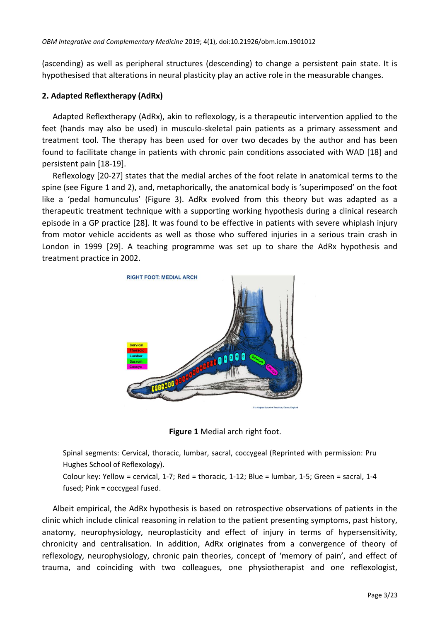(ascending) as well as peripheral structures (descending) to change a persistent pain state. It is hypothesised that alterations in neural plasticity play an active role in the measurable changes.

### **2. Adapted Reflextherapy (AdRx)**

Adapted Reflextherapy (AdRx), akin to reflexology, is a therapeutic intervention applied to the feet (hands may also be used) in musculo-skeletal pain patients as a primary assessment and treatment tool. The therapy has been used for over two decades by the author and has been found to facilitate change in patients with chronic pain conditions associated with WAD [18] and persistent pain [18-19].

Reflexology [20-27] states that the medial arches of the foot relate in anatomical terms to the spine (see Figure 1 and 2), and, metaphorically, the anatomical body is 'superimposed' on the foot like a 'pedal homunculus' (Figure 3). AdRx evolved from this theory but was adapted as a therapeutic treatment technique with a supporting working hypothesis during a clinical research episode in a GP practice [28]. It was found to be effective in patients with severe whiplash injury from motor vehicle accidents as well as those who suffered injuries in a serious train crash in London in 1999 [29]. A teaching programme was set up to share the AdRx hypothesis and treatment practice in 2002.





Spinal segments: Cervical, thoracic, lumbar, sacral, coccygeal (Reprinted with permission: Pru Hughes School of Reflexology).

Colour key: Yellow = cervical, 1-7; Red = thoracic, 1-12; Blue = lumbar, 1-5; Green = sacral, 1-4 fused; Pink = coccygeal fused.

Albeit empirical, the AdRx hypothesis is based on retrospective observations of patients in the clinic which include clinical reasoning in relation to the patient presenting symptoms, past history, anatomy, neurophysiology, neuroplasticity and effect of injury in terms of hypersensitivity, chronicity and centralisation. In addition, AdRx originates from a convergence of theory of reflexology, neurophysiology, chronic pain theories, concept of 'memory of pain', and effect of trauma, and coinciding with two colleagues, one physiotherapist and one reflexologist,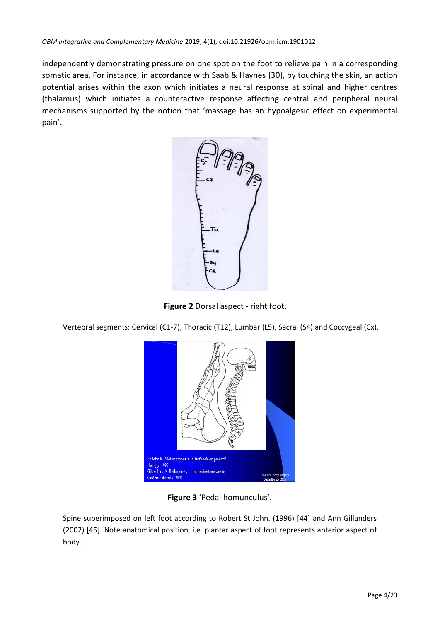independently demonstrating pressure on one spot on the foot to relieve pain in a corresponding somatic area. For instance, in accordance with Saab & Haynes [30], by touching the skin, an action potential arises within the axon which initiates a neural response at spinal and higher centres (thalamus) which initiates a counteractive response affecting central and peripheral neural mechanisms supported by the notion that 'massage has an hypoalgesic effect on experimental pain'.



Figure 2 Dorsal aspect - right foot.

Vertebral segments: Cervical (C1-7), Thoracic (T12), Lumbar (L5), Sacral (S4) and Coccygeal (Cx).



**Figure 3** 'Pedal homunculus'.

Spine superimposed on left foot according to Robert St John. (1996) [44] and Ann Gillanders (2002) [45]. Note anatomical position, i.e. plantar aspect of foot represents anterior aspect of body.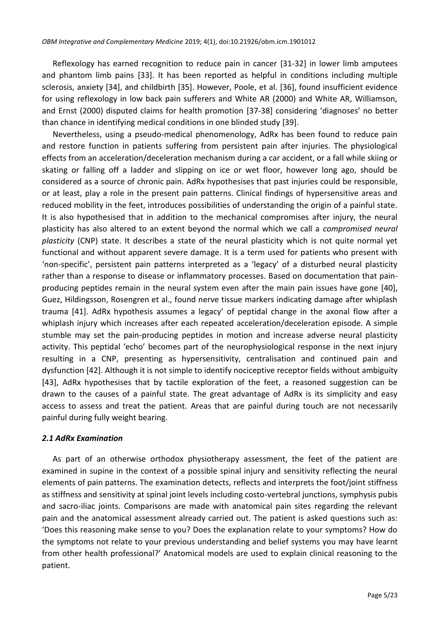Reflexology has earned recognition to reduce pain in cancer [31-32] in lower limb amputees and phantom limb pains [33]. It has been reported as helpful in conditions including multiple sclerosis, anxiety [34], and childbirth [35]. However, Poole, et al. [36], found insufficient evidence for using reflexology in low back pain sufferers and White AR (2000) and White AR, Williamson, and Ernst (2000) disputed claims for health promotion [37-38] considering 'diagnoses' no better than chance in identifying medical conditions in one blinded study [39].

Nevertheless, using a pseudo-medical phenomenology, AdRx has been found to reduce pain and restore function in patients suffering from persistent pain after injuries. The physiological effects from an acceleration/deceleration mechanism during a car accident, or a fall while skiing or skating or falling off a ladder and slipping on ice or wet floor, however long ago, should be considered as a source of chronic pain. AdRx hypothesises that past injuries could be responsible, or at least, play a role in the present pain patterns. Clinical findings of hypersensitive areas and reduced mobility in the feet, introduces possibilities of understanding the origin of a painful state. It is also hypothesised that in addition to the mechanical compromises after injury, the neural plasticity has also altered to an extent beyond the normal which we call a *compromised neural plasticity* (CNP) state. It describes a state of the neural plasticity which is not quite normal yet functional and without apparent severe damage. It is a term used for patients who present with 'non-specific', persistent pain patterns interpreted as a 'legacy' of a disturbed neural plasticity rather than a response to disease or inflammatory processes. Based on documentation that painproducing peptides remain in the neural system even after the main pain issues have gone [40], Guez, Hildingsson, Rosengren et al., found nerve tissue markers indicating damage after whiplash trauma [41]. AdRx hypothesis assumes a legacy' of peptidal change in the axonal flow after a whiplash injury which increases after each repeated acceleration/deceleration episode. A simple stumble may set the pain-producing peptides in motion and increase adverse neural plasticity activity. This peptidal 'echo' becomes part of the neurophysiological response in the next injury resulting in a CNP, presenting as hypersensitivity, centralisation and continued pain and dysfunction [42]. Although it is not simple to identify nociceptive receptor fields without ambiguity [43], AdRx hypothesises that by tactile exploration of the feet, a reasoned suggestion can be drawn to the causes of a painful state. The great advantage of AdRx is its simplicity and easy access to assess and treat the patient. Areas that are painful during touch are not necessarily painful during fully weight bearing.

### *2.1 AdRx Examination*

As part of an otherwise orthodox physiotherapy assessment, the feet of the patient are examined in supine in the context of a possible spinal injury and sensitivity reflecting the neural elements of pain patterns. The examination detects, reflects and interprets the foot/joint stiffness as stiffness and sensitivity at spinal joint levels including costo-vertebral junctions, symphysis pubis and sacro-iliac joints. Comparisons are made with anatomical pain sites regarding the relevant pain and the anatomical assessment already carried out. The patient is asked questions such as: 'Does this reasoning make sense to you? Does the explanation relate to your symptoms? How do the symptoms not relate to your previous understanding and belief systems you may have learnt from other health professional?' Anatomical models are used to explain clinical reasoning to the patient.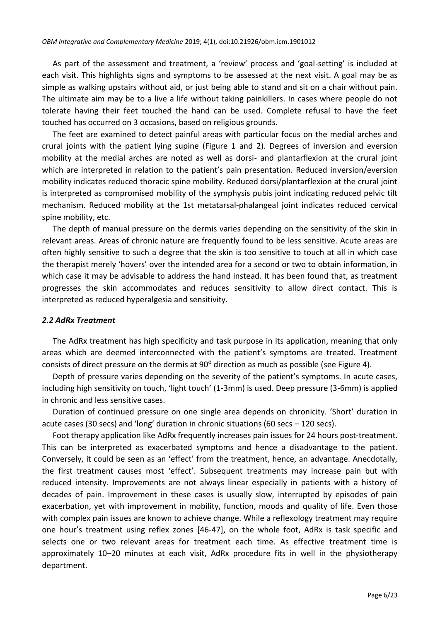As part of the assessment and treatment, a 'review' process and 'goal-setting' is included at each visit. This highlights signs and symptoms to be assessed at the next visit. A goal may be as simple as walking upstairs without aid, or just being able to stand and sit on a chair without pain. The ultimate aim may be to a live a life without taking painkillers. In cases where people do not tolerate having their feet touched the hand can be used. Complete refusal to have the feet touched has occurred on 3 occasions, based on religious grounds.

The feet are examined to detect painful areas with particular focus on the medial arches and crural joints with the patient lying supine (Figure 1 and 2). Degrees of inversion and eversion mobility at the medial arches are noted as well as dorsi- and plantarflexion at the crural joint which are interpreted in relation to the patient's pain presentation. Reduced inversion/eversion mobility indicates reduced thoracic spine mobility. Reduced dorsi/plantarflexion at the crural joint is interpreted as compromised mobility of the symphysis pubis joint indicating reduced pelvic tilt mechanism. Reduced mobility at the 1st metatarsal-phalangeal joint indicates reduced cervical spine mobility, etc.

The depth of manual pressure on the dermis varies depending on the sensitivity of the skin in relevant areas. Areas of chronic nature are frequently found to be less sensitive. Acute areas are often highly sensitive to such a degree that the skin is too sensitive to touch at all in which case the therapist merely 'hovers' over the intended area for a second or two to obtain information, in which case it may be advisable to address the hand instead. It has been found that, as treatment progresses the skin accommodates and reduces sensitivity to allow direct contact. This is interpreted as reduced hyperalgesia and sensitivity.

#### *2.2 AdRx Treatment*

The AdRx treatment has high specificity and task purpose in its application, meaning that only areas which are deemed interconnected with the patient's symptoms are treated. Treatment consists of direct pressure on the dermis at  $90^{\circ}$  direction as much as possible (see Figure 4).

Depth of pressure varies depending on the severity of the patient's symptoms. In acute cases, including high sensitivity on touch, 'light touch' (1-3mm) is used. Deep pressure (3-6mm) is applied in chronic and less sensitive cases.

Duration of continued pressure on one single area depends on chronicity. 'Short' duration in acute cases (30 secs) and 'long' duration in chronic situations (60 secs – 120 secs).

Foot therapy application like AdRx frequently increases pain issues for 24 hours post-treatment. This can be interpreted as exacerbated symptoms and hence a disadvantage to the patient. Conversely, it could be seen as an 'effect' from the treatment, hence, an advantage. Anecdotally, the first treatment causes most 'effect'. Subsequent treatments may increase pain but with reduced intensity. Improvements are not always linear especially in patients with a history of decades of pain. Improvement in these cases is usually slow, interrupted by episodes of pain exacerbation, yet with improvement in mobility, function, moods and quality of life. Even those with complex pain issues are known to achieve change. While a reflexology treatment may require one hour's treatment using reflex zones [46-47], on the whole foot, AdRx is task specific and selects one or two relevant areas for treatment each time. As effective treatment time is approximately 10–20 minutes at each visit, AdRx procedure fits in well in the physiotherapy department.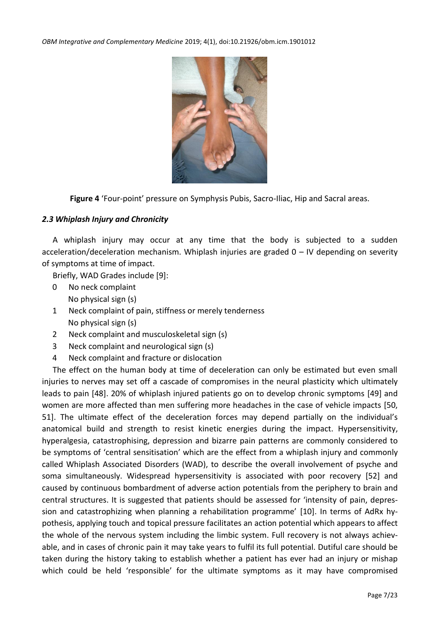

**Figure 4** 'Four-point' pressure on Symphysis Pubis, Sacro-Iliac, Hip and Sacral areas.

### *2.3 Whiplash Injury and Chronicity*

A whiplash injury may occur at any time that the body is subjected to a sudden acceleration/deceleration mechanism. Whiplash injuries are graded 0 – IV depending on severity of symptoms at time of impact.

Briefly, WAD Grades include [9]:

- 0 No neck complaint No physical sign (s)
- 1 Neck complaint of pain, stiffness or merely tenderness No physical sign (s)
- 2 Neck complaint and musculoskeletal sign (s)
- 3 Neck complaint and neurological sign (s)
- 4 Neck complaint and fracture or dislocation

The effect on the human body at time of deceleration can only be estimated but even small injuries to nerves may set off a cascade of compromises in the neural plasticity which ultimately leads to pain [48]. 20% of whiplash injured patients go on to develop chronic symptoms [49] and women are more affected than men suffering more headaches in the case of vehicle impacts [50, 51]. The ultimate effect of the deceleration forces may depend partially on the individual's anatomical build and strength to resist kinetic energies during the impact. Hypersensitivity, hyperalgesia, catastrophising, depression and bizarre pain patterns are commonly considered to be symptoms of 'central sensitisation' which are the effect from a whiplash injury and commonly called Whiplash Associated Disorders (WAD), to describe the overall involvement of psyche and soma simultaneously. Widespread hypersensitivity is associated with poor recovery [52] and caused by continuous bombardment of adverse action potentials from the periphery to brain and central structures. It is suggested that patients should be assessed for 'intensity of pain, depression and catastrophizing when planning a rehabilitation programme' [10]. In terms of AdRx hypothesis, applying touch and topical pressure facilitates an action potential which appears to affect the whole of the nervous system including the limbic system. Full recovery is not always achievable, and in cases of chronic pain it may take years to fulfil its full potential. Dutiful care should be taken during the history taking to establish whether a patient has ever had an injury or mishap which could be held 'responsible' for the ultimate symptoms as it may have compromised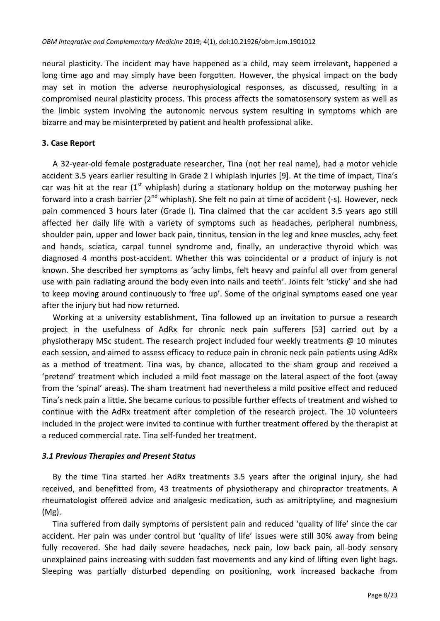neural plasticity. The incident may have happened as a child, may seem irrelevant, happened a long time ago and may simply have been forgotten. However, the physical impact on the body may set in motion the adverse neurophysiological responses, as discussed, resulting in a compromised neural plasticity process. This process affects the somatosensory system as well as the limbic system involving the autonomic nervous system resulting in symptoms which are bizarre and may be misinterpreted by patient and health professional alike.

### **3. Case Report**

A 32-year-old female postgraduate researcher, Tina (not her real name), had a motor vehicle accident 3.5 years earlier resulting in Grade 2 I whiplash injuries [9]. At the time of impact, Tina's car was hit at the rear  $(1<sup>st</sup>$  whiplash) during a stationary holdup on the motorway pushing her forward into a crash barrier ( $2^{nd}$  whiplash). She felt no pain at time of accident (-s). However, neck pain commenced 3 hours later (Grade I). Tina claimed that the car accident 3.5 years ago still affected her daily life with a variety of symptoms such as headaches, peripheral numbness, shoulder pain, upper and lower back pain, tinnitus, tension in the leg and knee muscles, achy feet and hands, sciatica, carpal tunnel syndrome and, finally, an underactive thyroid which was diagnosed 4 months post-accident. Whether this was coincidental or a product of injury is not known. She described her symptoms as 'achy limbs, felt heavy and painful all over from general use with pain radiating around the body even into nails and teeth'. Joints felt 'sticky' and she had to keep moving around continuously to 'free up'. Some of the original symptoms eased one year after the injury but had now returned.

Working at a university establishment, Tina followed up an invitation to pursue a research project in the usefulness of AdRx for chronic neck pain sufferers [53] carried out by a physiotherapy MSc student. The research project included four weekly treatments @ 10 minutes each session, and aimed to assess efficacy to reduce pain in chronic neck pain patients using AdRx as a method of treatment. Tina was, by chance, allocated to the sham group and received a 'pretend' treatment which included a mild foot massage on the lateral aspect of the foot (away from the 'spinal' areas). The sham treatment had nevertheless a mild positive effect and reduced Tina's neck pain a little. She became curious to possible further effects of treatment and wished to continue with the AdRx treatment after completion of the research project. The 10 volunteers included in the project were invited to continue with further treatment offered by the therapist at a reduced commercial rate. Tina self-funded her treatment.

### *3.1 Previous Therapies and Present Status*

By the time Tina started her AdRx treatments 3.5 years after the original injury, she had received, and benefitted from, 43 treatments of physiotherapy and chiropractor treatments. A rheumatologist offered advice and analgesic medication, such as amitriptyline, and magnesium (Mg).

Tina suffered from daily symptoms of persistent pain and reduced 'quality of life' since the car accident. Her pain was under control but 'quality of life' issues were still 30% away from being fully recovered. She had daily severe headaches, neck pain, low back pain, all-body sensory unexplained pains increasing with sudden fast movements and any kind of lifting even light bags. Sleeping was partially disturbed depending on positioning, work increased backache from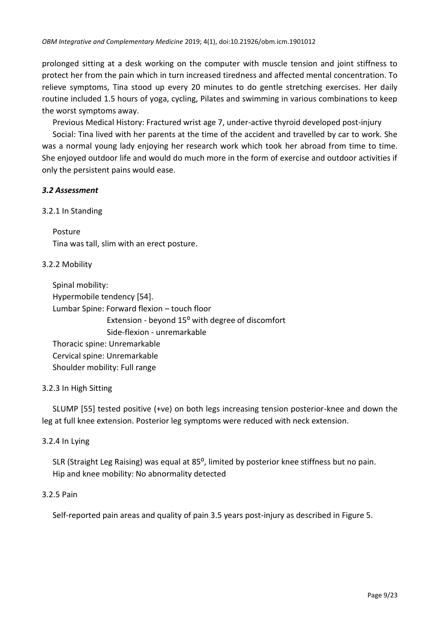prolonged sitting at a desk working on the computer with muscle tension and joint stiffness to protect her from the pain which in turn increased tiredness and affected mental concentration. To relieve symptoms, Tina stood up every 20 minutes to do gentle stretching exercises. Her daily routine included 1.5 hours of yoga, cycling, Pilates and swimming in various combinations to keep the worst symptoms away.

Previous Medical History: Fractured wrist age 7, under-active thyroid developed post-injury

Social: Tina lived with her parents at the time of the accident and travelled by car to work. She was a normal young lady enjoying her research work which took her abroad from time to time. She enjoyed outdoor life and would do much more in the form of exercise and outdoor activities if only the persistent pains would ease.

### *3.2 Assessment*

### 3.2.1 In Standing

Posture Tina was tall, slim with an erect posture.

### 3.2.2 Mobility

Spinal mobility: Hypermobile tendency [54]. Lumbar Spine: Forward flexion – touch floor Extension - beyond  $15^{\circ}$  with degree of discomfort Side-flexion - unremarkable Thoracic spine: Unremarkable Cervical spine: Unremarkable Shoulder mobility: Full range

### 3.2.3 In High Sitting

SLUMP [55] tested positive (+ve) on both legs increasing tension posterior-knee and down the leg at full knee extension. Posterior leg symptoms were reduced with neck extension.

### 3.2.4 In Lying

SLR (Straight Leg Raising) was equal at  $85^{\circ}$ , limited by posterior knee stiffness but no pain. Hip and knee mobility: No abnormality detected

### 3.2.5 Pain

Self-reported pain areas and quality of pain 3.5 years post-injury as described in Figure 5.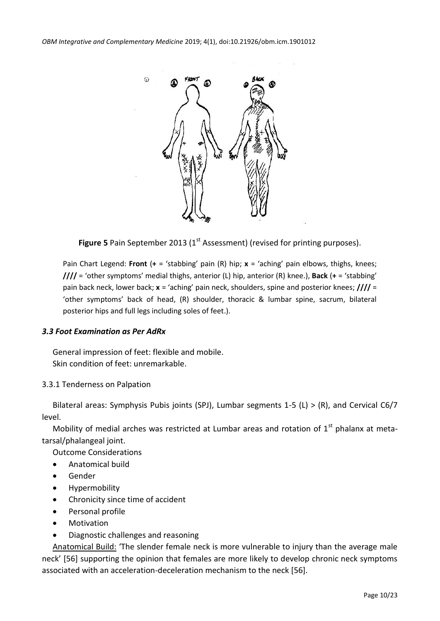

**Figure 5** Pain September 2013 (1<sup>st</sup> Assessment) (revised for printing purposes).

Pain Chart Legend: **Front** (**+** = 'stabbing' pain (R) hip; **x** = 'aching' pain elbows, thighs, knees; **////** = 'other symptoms' medial thighs, anterior (L) hip, anterior (R) knee.), **Back** (**+** = 'stabbing' pain back neck, lower back; **x** = 'aching' pain neck, shoulders, spine and posterior knees; **////** = 'other symptoms' back of head, (R) shoulder, thoracic & lumbar spine, sacrum, bilateral posterior hips and full legs including soles of feet.).

### *3.3 Foot Examination as Per AdRx*

General impression of feet: flexible and mobile. Skin condition of feet: unremarkable.

### 3.3.1 Tenderness on Palpation

Bilateral areas: Symphysis Pubis joints (SPJ), Lumbar segments 1-5 (L) > (R), and Cervical C6/7 level.

Mobility of medial arches was restricted at Lumbar areas and rotation of  $1<sup>st</sup>$  phalanx at metatarsal/phalangeal joint.

Outcome Considerations

- Anatomical build
- Gender
- **•** Hypermobility
- Chronicity since time of accident
- **•** Personal profile
- **•** Motivation
- Diagnostic challenges and reasoning

Anatomical Build: 'The slender female neck is more vulnerable to injury than the average male neck' [56] supporting the opinion that females are more likely to develop chronic neck symptoms associated with an acceleration-deceleration mechanism to the neck [56].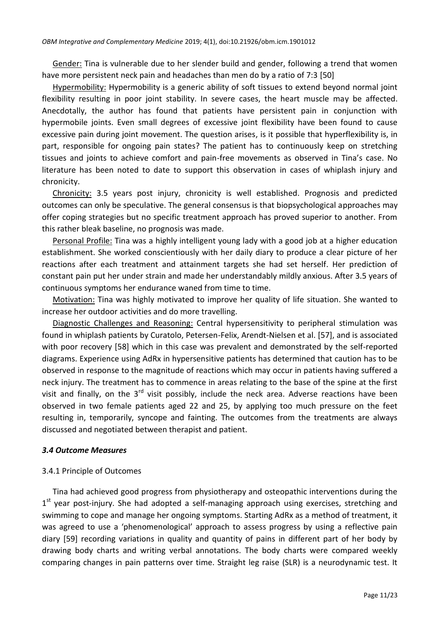Gender: Tina is vulnerable due to her slender build and gender, following a trend that women have more persistent neck pain and headaches than men do by a ratio of 7:3 [50]

Hypermobility: Hypermobility is a generic ability of soft tissues to extend beyond normal joint flexibility resulting in poor joint stability. In severe cases, the heart muscle may be affected. Anecdotally, the author has found that patients have persistent pain in conjunction with hypermobile joints. Even small degrees of excessive joint flexibility have been found to cause excessive pain during joint movement. The question arises, is it possible that hyperflexibility is, in part, responsible for ongoing pain states? The patient has to continuously keep on stretching tissues and joints to achieve comfort and pain-free movements as observed in Tina's case. No literature has been noted to date to support this observation in cases of whiplash injury and chronicity.

Chronicity: 3.5 years post injury, chronicity is well established. Prognosis and predicted outcomes can only be speculative. The general consensus is that biopsychological approaches may offer coping strategies but no specific treatment approach has proved superior to another. From this rather bleak baseline, no prognosis was made.

Personal Profile: Tina was a highly intelligent young lady with a good job at a higher education establishment. She worked conscientiously with her daily diary to produce a clear picture of her reactions after each treatment and attainment targets she had set herself. Her prediction of constant pain put her under strain and made her understandably mildly anxious. After 3.5 years of continuous symptoms her endurance waned from time to time.

Motivation: Tina was highly motivated to improve her quality of life situation. She wanted to increase her outdoor activities and do more travelling.

Diagnostic Challenges and Reasoning: Central hypersensitivity to peripheral stimulation was found in whiplash patients by Curatolo, Petersen-Felix, Arendt-Nielsen et al. [57], and is associated with poor recovery [58] which in this case was prevalent and demonstrated by the self-reported diagrams. Experience using AdRx in hypersensitive patients has determined that caution has to be observed in response to the magnitude of reactions which may occur in patients having suffered a neck injury. The treatment has to commence in areas relating to the base of the spine at the first visit and finally, on the  $3^{rd}$  visit possibly, include the neck area. Adverse reactions have been observed in two female patients aged 22 and 25, by applying too much pressure on the feet resulting in, temporarily, syncope and fainting. The outcomes from the treatments are always discussed and negotiated between therapist and patient.

#### *3.4 Outcome Measures*

### 3.4.1 Principle of Outcomes

Tina had achieved good progress from physiotherapy and osteopathic interventions during the 1<sup>st</sup> year post-injury. She had adopted a self-managing approach using exercises, stretching and swimming to cope and manage her ongoing symptoms. Starting AdRx as a method of treatment, it was agreed to use a 'phenomenological' approach to assess progress by using a reflective pain diary [59] recording variations in quality and quantity of pains in different part of her body by drawing body charts and writing verbal annotations. The body charts were compared weekly comparing changes in pain patterns over time. Straight leg raise (SLR) is a neurodynamic test. It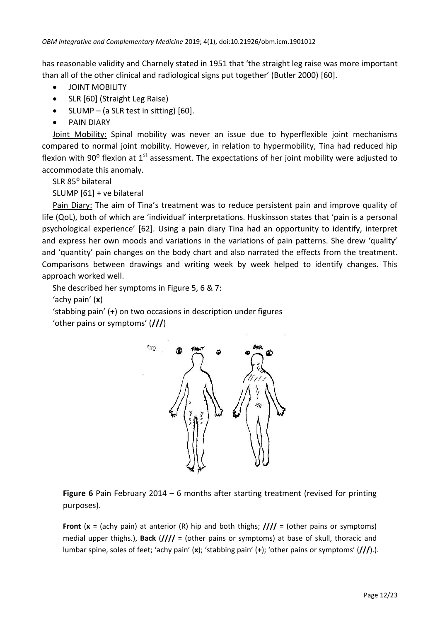has reasonable validity and Charnely stated in 1951 that 'the straight leg raise was more important than all of the other clinical and radiological signs put together' (Butler 2000) [60].

- **JOINT MOBILITY**
- SLR [60] (Straight Leg Raise)
- $\bullet$  SLUMP (a SLR test in sitting) [60].
- PAIN DIARY

Joint Mobility: Spinal mobility was never an issue due to hyperflexible joint mechanisms compared to normal joint mobility. However, in relation to hypermobility, Tina had reduced hip flexion with 90 $^{\circ}$  flexion at 1<sup>st</sup> assessment. The expectations of her joint mobility were adjusted to accommodate this anomaly.

SLR 85° bilateral

SLUMP [61] + ve bilateral

Pain Diary: The aim of Tina's treatment was to reduce persistent pain and improve quality of life (QoL), both of which are 'individual' interpretations. Huskinsson states that 'pain is a personal psychological experience' [62]. Using a pain diary Tina had an opportunity to identify, interpret and express her own moods and variations in the variations of pain patterns. She drew 'quality' and 'quantity' pain changes on the body chart and also narrated the effects from the treatment. Comparisons between drawings and writing week by week helped to identify changes. This approach worked well.

She described her symptoms in Figure 5, 6 & 7:

'achy pain' (**x**)

'stabbing pain' (**+**) on two occasions in description under figures 'other pains or symptoms' (**///**)



**Figure 6** Pain February 2014 – 6 months after starting treatment (revised for printing purposes).

**Front** (**x** = (achy pain) at anterior (R) hip and both thighs; **////** = (other pains or symptoms) medial upper thighs.), **Back** (**////** = (other pains or symptoms) at base of skull, thoracic and lumbar spine, soles of feet; 'achy pain' (**x**); 'stabbing pain' (**+**); 'other pains or symptoms' (**///**).).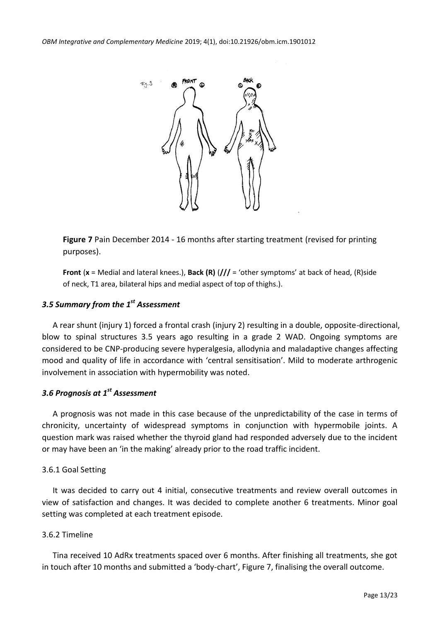

**Figure 7** Pain December 2014 - 16 months after starting treatment (revised for printing purposes).

**Front** (**x** = Medial and lateral knees.), **Back (R)** (**///** = 'other symptoms' at back of head, (R)side of neck, T1 area, bilateral hips and medial aspect of top of thighs.).

# *3.5 Summary from the 1st Assessment*

A rear shunt (injury 1) forced a frontal crash (injury 2) resulting in a double, opposite-directional, blow to spinal structures 3.5 years ago resulting in a grade 2 WAD. Ongoing symptoms are considered to be CNP-producing severe hyperalgesia, allodynia and maladaptive changes affecting mood and quality of life in accordance with 'central sensitisation'. Mild to moderate arthrogenic involvement in association with hypermobility was noted.

# *3.6 Prognosis at 1st Assessment*

A prognosis was not made in this case because of the unpredictability of the case in terms of chronicity, uncertainty of widespread symptoms in conjunction with hypermobile joints. A question mark was raised whether the thyroid gland had responded adversely due to the incident or may have been an 'in the making' already prior to the road traffic incident.

### 3.6.1 Goal Setting

It was decided to carry out 4 initial, consecutive treatments and review overall outcomes in view of satisfaction and changes. It was decided to complete another 6 treatments. Minor goal setting was completed at each treatment episode.

### 3.6.2 Timeline

Tina received 10 AdRx treatments spaced over 6 months. After finishing all treatments, she got in touch after 10 months and submitted a 'body-chart', Figure 7, finalising the overall outcome.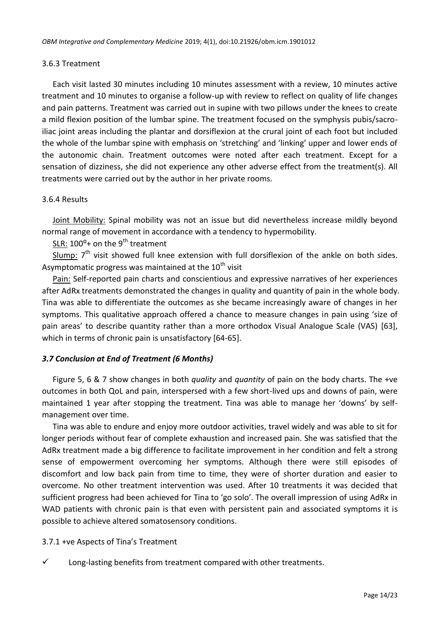### 3.6.3 Treatment

Each visit lasted 30 minutes including 10 minutes assessment with a review, 10 minutes active treatment and 10 minutes to organise a follow-up with review to reflect on quality of life changes and pain patterns. Treatment was carried out in supine with two pillows under the knees to create a mild flexion position of the lumbar spine. The treatment focused on the symphysis pubis/sacroiliac joint areas including the plantar and dorsiflexion at the crural joint of each foot but included the whole of the lumbar spine with emphasis on 'stretching' and 'linking' upper and lower ends of the autonomic chain. Treatment outcomes were noted after each treatment. Except for a sensation of dizziness, she did not experience any other adverse effect from the treatment(s). All treatments were carried out by the author in her private rooms.

### 3.6.4 Results

Joint Mobility: Spinal mobility was not an issue but did nevertheless increase mildly beyond normal range of movement in accordance with a tendency to hypermobility.

SLR:  $100^{\circ}$ + on the 9<sup>th</sup> treatment

 $S$ lump:  $7<sup>th</sup>$  visit showed full knee extension with full dorsiflexion of the ankle on both sides. Asymptomatic progress was maintained at the  $10^{th}$  visit

Pain: Self-reported pain charts and conscientious and expressive narratives of her experiences after AdRx treatments demonstrated the changes in quality and quantity of pain in the whole body. Tina was able to differentiate the outcomes as she became increasingly aware of changes in her symptoms. This qualitative approach offered a chance to measure changes in pain using 'size of pain areas' to describe quantity rather than a more orthodox Visual Analogue Scale (VAS) [63], which in terms of chronic pain is unsatisfactory [64-65].

### *3.7 Conclusion at End of Treatment (6 Months)*

Figure 5, 6 & 7 show changes in both *quality* and *quantity* of pain on the body charts. The +ve outcomes in both QoL and pain, interspersed with a few short-lived ups and downs of pain, were maintained 1 year after stopping the treatment. Tina was able to manage her 'downs' by selfmanagement over time.

Tina was able to endure and enjoy more outdoor activities, travel widely and was able to sit for longer periods without fear of complete exhaustion and increased pain. She was satisfied that the AdRx treatment made a big difference to facilitate improvement in her condition and felt a strong sense of empowerment overcoming her symptoms. Although there were still episodes of discomfort and low back pain from time to time, they were of shorter duration and easier to overcome. No other treatment intervention was used. After 10 treatments it was decided that sufficient progress had been achieved for Tina to 'go solo'. The overall impression of using AdRx in WAD patients with chronic pain is that even with persistent pain and associated symptoms it is possible to achieve altered somatosensory conditions.

### 3.7.1 +ve Aspects of Tina's Treatment

 $\checkmark$  Long-lasting benefits from treatment compared with other treatments.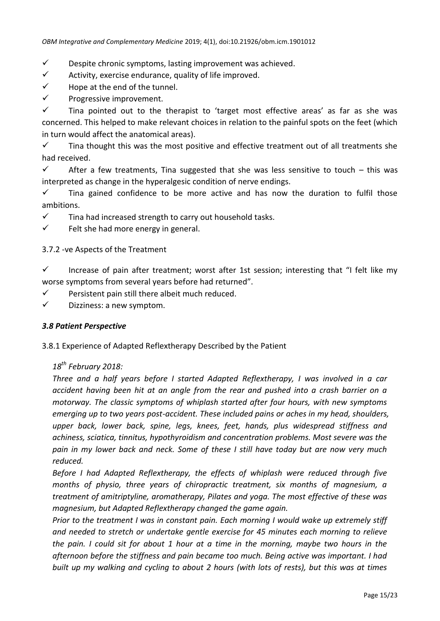- $\checkmark$  Despite chronic symptoms, lasting improvement was achieved.
- $\checkmark$  Activity, exercise endurance, quality of life improved.
- $\checkmark$  Hope at the end of the tunnel.
- $\checkmark$  Progressive improvement.

 $\checkmark$  Tina pointed out to the therapist to 'target most effective areas' as far as she was concerned. This helped to make relevant choices in relation to the painful spots on the feet (which in turn would affect the anatomical areas).

 $\checkmark$  Tina thought this was the most positive and effective treatment out of all treatments she had received.

 $\checkmark$  After a few treatments, Tina suggested that she was less sensitive to touch – this was interpreted as change in the hyperalgesic condition of nerve endings.

 $\checkmark$  Tina gained confidence to be more active and has now the duration to fulfil those ambitions.

- $\checkmark$  Tina had increased strength to carry out household tasks.
- $\checkmark$  Felt she had more energy in general.

# 3.7.2 -ve Aspects of the Treatment

 $\checkmark$  Increase of pain after treatment; worst after 1st session; interesting that "I felt like my worse symptoms from several years before had returned".

 $\checkmark$  Persistent pain still there albeit much reduced.

 $\checkmark$  Dizziness: a new symptom.

# *3.8 Patient Perspective*

3.8.1 Experience of Adapted Reflextherapy Described by the Patient

# *18th February 2018:*

*Three and a half years before I started Adapted Reflextherapy, I was involved in a car accident having been hit at an angle from the rear and pushed into a crash barrier on a motorway. The classic symptoms of whiplash started after four hours, with new symptoms emerging up to two years post-accident. These included pains or aches in my head, shoulders, upper back, lower back, spine, legs, knees, feet, hands, plus widespread stiffness and achiness, sciatica, tinnitus, hypothyroidism and concentration problems. Most severe was the pain in my lower back and neck. Some of these I still have today but are now very much reduced.* 

*Before I had Adapted Reflextherapy, the effects of whiplash were reduced through five months of physio, three years of chiropractic treatment, six months of magnesium, a treatment of amitriptyline, aromatherapy, Pilates and yoga. The most effective of these was magnesium, but Adapted Reflextherapy changed the game again.*

*Prior to the treatment I was in constant pain. Each morning I would wake up extremely stiff and needed to stretch or undertake gentle exercise for 45 minutes each morning to relieve the pain. I could sit for about 1 hour at a time in the morning, maybe two hours in the afternoon before the stiffness and pain became too much. Being active was important. I had built up my walking and cycling to about 2 hours (with lots of rests), but this was at times*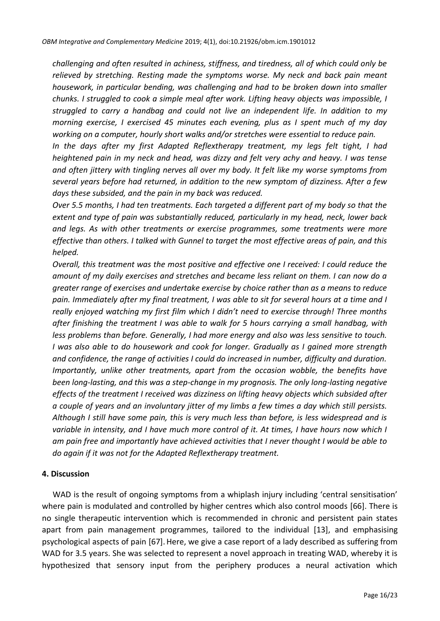*challenging and often resulted in achiness, stiffness, and tiredness, all of which could only be relieved by stretching. Resting made the symptoms worse. My neck and back pain meant housework, in particular bending, was challenging and had to be broken down into smaller chunks. I struggled to cook a simple meal after work. Lifting heavy objects was impossible, I struggled to carry a handbag and could not live an independent life. In addition to my morning exercise, I exercised 45 minutes each evening, plus as I spent much of my day working on a computer, hourly short walks and/or stretches were essential to reduce pain.*

*In the days after my first Adapted Reflextherapy treatment, my legs felt tight, I had heightened pain in my neck and head, was dizzy and felt very achy and heavy. I was tense and often jittery with tingling nerves all over my body. It felt like my worse symptoms from several years before had returned, in addition to the new symptom of dizziness. After a few days these subsided, and the pain in my back was reduced.*

*Over 5.5 months, I had ten treatments. Each targeted a different part of my body so that the extent and type of pain was substantially reduced, particularly in my head, neck, lower back and legs. As with other treatments or exercise programmes, some treatments were more effective than others. I talked with Gunnel to target the most effective areas of pain, and this helped.*

*Overall, this treatment was the most positive and effective one I received: I could reduce the amount of my daily exercises and stretches and became less reliant on them. I can now do a greater range of exercises and undertake exercise by choice rather than as a means to reduce pain. Immediately after my final treatment, I was able to sit for several hours at a time and I really enjoyed watching my first film which I didn't need to exercise through! Three months after finishing the treatment I was able to walk for 5 hours carrying a small handbag, with less problems than before. Generally, I had more energy and also was less sensitive to touch. I was also able to do housework and cook for longer. Gradually as I gained more strength and confidence, the range of activities I could do increased in number, difficulty and duration. Importantly, unlike other treatments, apart from the occasion wobble, the benefits have been long-lasting, and this was a step-change in my prognosis. The only long-lasting negative effects of the treatment I received was dizziness on lifting heavy objects which subsided after a couple of years and an involuntary jitter of my limbs a few times a day which still persists. Although I still have some pain, this is very much less than before, is less widespread and is variable in intensity, and I have much more control of it. At times, I have hours now which I am pain free and importantly have achieved activities that I never thought I would be able to do again if it was not for the Adapted Reflextherapy treatment.*

### **4. Discussion**

WAD is the result of ongoing symptoms from a whiplash injury including 'central sensitisation' where pain is modulated and controlled by higher centres which also control moods [66]. There is no single therapeutic intervention which is recommended in chronic and persistent pain states apart from pain management programmes, tailored to the individual [13], and emphasising psychological aspects of pain [67]. Here, we give a case report of a lady described as suffering from WAD for 3.5 years. She was selected to represent a novel approach in treating WAD, whereby it is hypothesized that sensory input from the periphery produces a neural activation which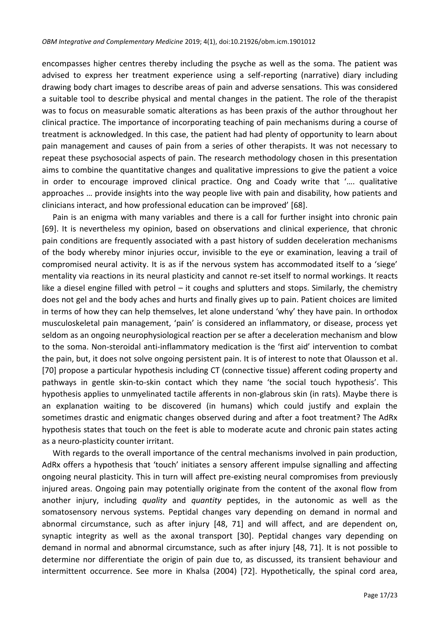encompasses higher centres thereby including the psyche as well as the soma. The patient was advised to express her treatment experience using a self-reporting (narrative) diary including drawing body chart images to describe areas of pain and adverse sensations. This was considered a suitable tool to describe physical and mental changes in the patient. The role of the therapist was to focus on measurable somatic alterations as has been praxis of the author throughout her clinical practice. The importance of incorporating teaching of pain mechanisms during a course of treatment is acknowledged. In this case, the patient had had plenty of opportunity to learn about pain management and causes of pain from a series of other therapists. It was not necessary to repeat these psychosocial aspects of pain. The research methodology chosen in this presentation aims to combine the quantitative changes and qualitative impressions to give the patient a voice in order to encourage improved clinical practice. Ong and Coady write that '…. qualitative approaches … provide insights into the way people live with pain and disability, how patients and clinicians interact, and how professional education can be improved' [68].

Pain is an enigma with many variables and there is a call for further insight into chronic pain [69]. It is nevertheless my opinion, based on observations and clinical experience, that chronic pain conditions are frequently associated with a past history of sudden deceleration mechanisms of the body whereby minor injuries occur, invisible to the eye or examination, leaving a trail of compromised neural activity. It is as if the nervous system has accommodated itself to a 'siege' mentality via reactions in its neural plasticity and cannot re-set itself to normal workings. It reacts like a diesel engine filled with petrol – it coughs and splutters and stops. Similarly, the chemistry does not gel and the body aches and hurts and finally gives up to pain. Patient choices are limited in terms of how they can help themselves, let alone understand 'why' they have pain. In orthodox musculoskeletal pain management, 'pain' is considered an inflammatory, or disease, process yet seldom as an ongoing neurophysiological reaction per se after a deceleration mechanism and blow to the soma. Non-steroidal anti-inflammatory medication is the 'first aid' intervention to combat the pain, but, it does not solve ongoing persistent pain. It is of interest to note that Olausson et al. [70] propose a particular hypothesis including CT (connective tissue) afferent coding property and pathways in gentle skin-to-skin contact which they name 'the social touch hypothesis'. This hypothesis applies to unmyelinated tactile afferents in non-glabrous skin (in rats). Maybe there is an explanation waiting to be discovered (in humans) which could justify and explain the sometimes drastic and enigmatic changes observed during and after a foot treatment? The AdRx hypothesis states that touch on the feet is able to moderate acute and chronic pain states acting as a neuro-plasticity counter irritant.

With regards to the overall importance of the central mechanisms involved in pain production, AdRx offers a hypothesis that 'touch' initiates a sensory afferent impulse signalling and affecting ongoing neural plasticity. This in turn will affect pre-existing neural compromises from previously injured areas. Ongoing pain may potentially originate from the content of the axonal flow from another injury, including *quality* and *quantity* peptides, in the autonomic as well as the somatosensory nervous systems. Peptidal changes vary depending on demand in normal and abnormal circumstance, such as after injury [48, 71] and will affect, and are dependent on, synaptic integrity as well as the axonal transport [30]. Peptidal changes vary depending on demand in normal and abnormal circumstance, such as after injury [48, 71]. It is not possible to determine nor differentiate the origin of pain due to, as discussed, its transient behaviour and intermittent occurrence. See more in Khalsa (2004) [72]. Hypothetically, the spinal cord area,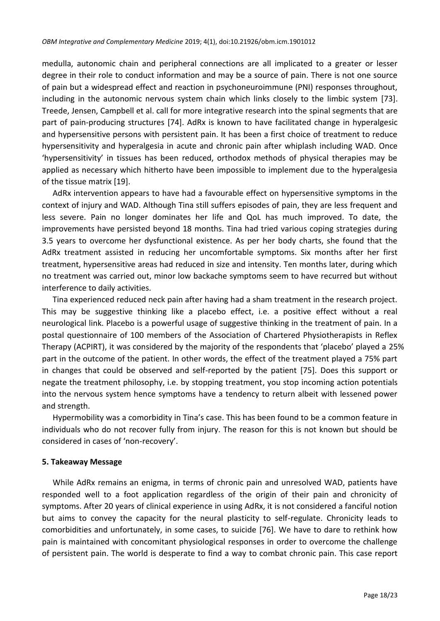medulla, autonomic chain and peripheral connections are all implicated to a greater or lesser degree in their role to conduct information and may be a source of pain. There is not one source of pain but a widespread effect and reaction in psychoneuroimmune (PNI) responses throughout, including in the autonomic nervous system chain which links closely to the limbic system [73]. Treede, Jensen, Campbell et al. call for more integrative research into the spinal segments that are part of pain-producing structures [74]. AdRx is known to have facilitated change in hyperalgesic and hypersensitive persons with persistent pain. It has been a first choice of treatment to reduce hypersensitivity and hyperalgesia in acute and chronic pain after whiplash including WAD. Once 'hypersensitivity' in tissues has been reduced, orthodox methods of physical therapies may be applied as necessary which hitherto have been impossible to implement due to the hyperalgesia of the tissue matrix [19].

AdRx intervention appears to have had a favourable effect on hypersensitive symptoms in the context of injury and WAD. Although Tina still suffers episodes of pain, they are less frequent and less severe. Pain no longer dominates her life and QoL has much improved. To date, the improvements have persisted beyond 18 months. Tina had tried various coping strategies during 3.5 years to overcome her dysfunctional existence. As per her body charts, she found that the AdRx treatment assisted in reducing her uncomfortable symptoms. Six months after her first treatment, hypersensitive areas had reduced in size and intensity. Ten months later, during which no treatment was carried out, minor low backache symptoms seem to have recurred but without interference to daily activities.

Tina experienced reduced neck pain after having had a sham treatment in the research project. This may be suggestive thinking like a placebo effect, i.e. a positive effect without a real neurological link. Placebo is a powerful usage of suggestive thinking in the treatment of pain. In a postal questionnaire of 100 members of the Association of Chartered Physiotherapists in Reflex Therapy (ACPIRT), it was considered by the majority of the respondents that 'placebo' played a 25% part in the outcome of the patient. In other words, the effect of the treatment played a 75% part in changes that could be observed and self-reported by the patient [75]. Does this support or negate the treatment philosophy, i.e. by stopping treatment, you stop incoming action potentials into the nervous system hence symptoms have a tendency to return albeit with lessened power and strength.

Hypermobility was a comorbidity in Tina's case. This has been found to be a common feature in individuals who do not recover fully from injury. The reason for this is not known but should be considered in cases of 'non-recovery'.

#### **5. Takeaway Message**

While AdRx remains an enigma, in terms of chronic pain and unresolved WAD, patients have responded well to a foot application regardless of the origin of their pain and chronicity of symptoms. After 20 years of clinical experience in using AdRx, it is not considered a fanciful notion but aims to convey the capacity for the neural plasticity to self-regulate. Chronicity leads to comorbidities and unfortunately, in some cases, to suicide [76]. We have to dare to rethink how pain is maintained with concomitant physiological responses in order to overcome the challenge of persistent pain. The world is desperate to find a way to combat chronic pain. This case report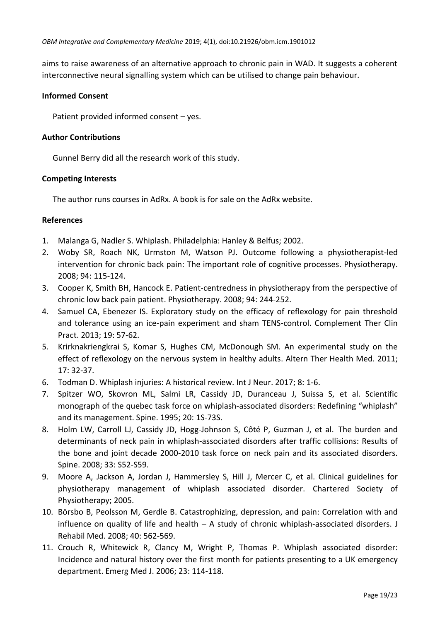aims to raise awareness of an alternative approach to chronic pain in WAD. It suggests a coherent interconnective neural signalling system which can be utilised to change pain behaviour.

### **Informed Consent**

Patient provided informed consent – yes.

### **Author Contributions**

Gunnel Berry did all the research work of this study.

### **Competing Interests**

The author runs courses in AdRx. A book is for sale on the AdRx website.

### **References**

- 1. Malanga G, Nadler S. Whiplash. Philadelphia: Hanley & Belfus; 2002.
- 2. Woby SR, Roach NK, Urmston M, Watson PJ. Outcome following a physiotherapist-led intervention for chronic back pain: The important role of cognitive processes. Physiotherapy. 2008; 94: 115-124.
- 3. Cooper K, Smith BH, Hancock E. Patient-centredness in physiotherapy from the perspective of chronic low back pain patient. Physiotherapy. 2008; 94: 244-252.
- 4. Samuel CA, Ebenezer IS. Exploratory study on the efficacy of reflexology for pain threshold and tolerance using an ice-pain experiment and sham TENS-control. Complement Ther Clin Pract. 2013; 19: 57-62.
- 5. Krirknakriengkrai S, Komar S, Hughes CM, McDonough SM. An experimental study on the effect of reflexology on the nervous system in healthy adults. Altern Ther Health Med. 2011; 17: 32-37.
- 6. Todman D. Whiplash injuries: A historical review. Int J Neur. 2017; 8: 1-6.
- 7. Spitzer WO, Skovron ML, Salmi LR, Cassidy JD, Duranceau J, Suissa S, et al. Scientific monograph of the quebec task force on whiplash-associated disorders: Redefining "whiplash" and its management. Spine. 1995; 20: 1S-73S.
- 8. Holm LW, Carroll LJ, Cassidy JD, Hogg-Johnson S, Côté P, Guzman J, et al. The burden and determinants of neck pain in whiplash-associated disorders after traffic collisions: Results of the bone and joint decade 2000-2010 task force on neck pain and its associated disorders. Spine. 2008; 33: S52-S59.
- 9. Moore A, Jackson A, Jordan J, Hammersley S, Hill J, Mercer C, et al. Clinical guidelines for physiotherapy management of whiplash associated disorder. Chartered Society of Physiotherapy; 2005.
- 10. Börsbo B, Peolsson M, Gerdle B. Catastrophizing, depression, and pain: Correlation with and influence on quality of life and health – A study of chronic whiplash-associated disorders. J Rehabil Med. 2008; 40: 562-569.
- 11. Crouch R, Whitewick R, Clancy M, Wright P, Thomas P. Whiplash associated disorder: Incidence and natural history over the first month for patients presenting to a UK emergency department. Emerg Med J. 2006; 23: 114-118.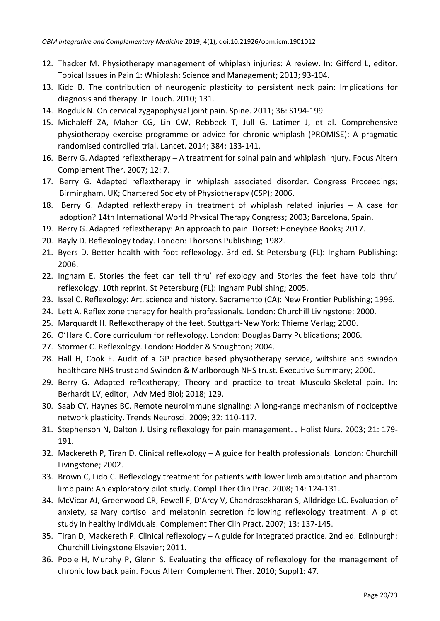- 12. Thacker M. Physiotherapy management of whiplash injuries: A review. In: Gifford L, editor. Topical Issues in Pain 1: Whiplash: Science and Management; 2013; 93-104.
- 13. Kidd B. The contribution of neurogenic plasticity to persistent neck pain: Implications for diagnosis and therapy. In Touch. 2010; 131.
- 14. Bogduk N. On cervical zygapophysial joint pain. Spine. 2011; 36: S194-199.
- 15. Michaleff ZA, Maher CG, Lin CW, Rebbeck T, Jull G, Latimer J, et al. Comprehensive physiotherapy exercise programme or advice for chronic whiplash (PROMISE): A pragmatic randomised controlled trial. Lancet. 2014; 384: 133-141.
- 16. Berry G. Adapted reflextherapy A treatment for spinal pain and whiplash injury. Focus Altern Complement Ther. 2007; 12: 7.
- 17. Berry G. Adapted reflextherapy in whiplash associated disorder. Congress Proceedings; Birmingham, UK; Chartered Society of Physiotherapy (CSP); 2006.
- 18. Berry G. Adapted reflextherapy in treatment of whiplash related injuries A case for adoption? 14th International World Physical Therapy Congress; 2003; Barcelona, Spain.
- 19. Berry G. Adapted reflextherapy: An approach to pain. Dorset: Honeybee Books; 2017.
- 20. Bayly D. Reflexology today. London: Thorsons Publishing; 1982.
- 21. Byers D. Better health with foot reflexology. 3rd ed. St Petersburg (FL): Ingham Publishing; 2006.
- 22. Ingham E. Stories the feet can tell thru' reflexology and Stories the feet have told thru' reflexology. 10th reprint. St Petersburg (FL): Ingham Publishing; 2005.
- 23. Issel C. Reflexology: Art, science and history. Sacramento (CA): New Frontier Publishing; 1996.
- 24. Lett A. Reflex zone therapy for health professionals. London: Churchill Livingstone; 2000.
- 25. Marquardt H. Reflexotherapy of the feet. Stuttgart-New York: Thieme Verlag; 2000.
- 26. O'Hara C. Core curriculum for reflexology. London: Douglas Barry Publications; 2006.
- 27. Stormer C. Reflexology. London: Hodder & Stoughton; 2004.
- 28. Hall H, Cook F. Audit of a GP practice based physiotherapy service, wiltshire and swindon healthcare NHS trust and Swindon & Marlborough NHS trust. Executive Summary; 2000.
- 29. Berry G. Adapted reflextherapy; Theory and practice to treat Musculo-Skeletal pain. In: Berhardt LV, editor, Adv Med Biol; 2018; 129.
- 30. Saab CY, Haynes BC. Remote neuroimmune signaling: A long-range mechanism of nociceptive network plasticity. Trends Neurosci. 2009; 32: 110-117.
- 31. Stephenson N, Dalton J. Using reflexology for pain management. J Holist Nurs. 2003; 21: 179- 191.
- 32. Mackereth P, Tiran D. Clinical reflexology A guide for health professionals. London: Churchill Livingstone; 2002.
- 33. Brown C, Lido C. Reflexology treatment for patients with lower limb amputation and phantom limb pain: An exploratory pilot study. Compl Ther Clin Prac. 2008; 14: 124-131.
- 34. McVicar AJ, Greenwood CR, Fewell F, D'Arcy V, Chandrasekharan S, Alldridge LC. Evaluation of anxiety, salivary cortisol and melatonin secretion following reflexology treatment: A pilot study in healthy individuals. Complement Ther Clin Pract. 2007; 13: 137-145.
- 35. Tiran D, Mackereth P. Clinical reflexology A guide for integrated practice. 2nd ed. Edinburgh: Churchill Livingstone Elsevier; 2011.
- 36. Poole H, Murphy P, Glenn S. Evaluating the efficacy of reflexology for the management of chronic low back pain. Focus Altern Complement Ther. 2010; Suppl1: 47.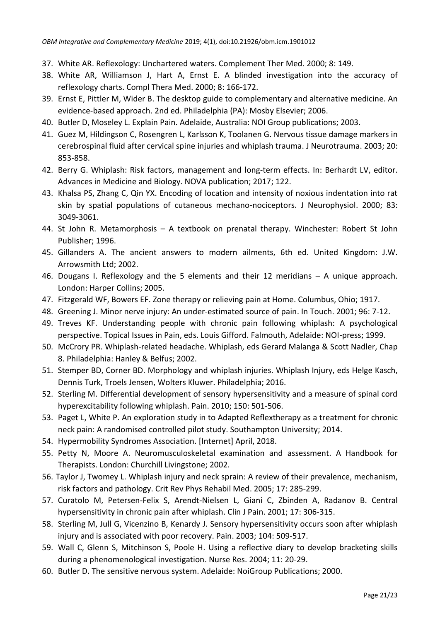- 37. White AR. Reflexology: Unchartered waters. Complement Ther Med. 2000; 8: 149.
- 38. White AR, Williamson J, Hart A, Ernst E. A blinded investigation into the accuracy of reflexology charts. Compl Thera Med. 2000; 8: 166-172.
- 39. Ernst E, Pittler M, Wider B. The desktop guide to complementary and alternative medicine. An evidence-based approach. 2nd ed. Philadelphia (PA): Mosby Elsevier; 2006.
- 40. Butler D, Moseley L. Explain Pain. Adelaide, Australia: NOI Group publications; 2003.
- 41. Guez M, Hildingson C, Rosengren L, Karlsson K, Toolanen G. Nervous tissue damage markers in cerebrospinal fluid after cervical spine injuries and whiplash trauma. J Neurotrauma. 2003; 20: 853-858.
- 42. Berry G. Whiplash: Risk factors, management and long-term effects. In: Berhardt LV, editor. Advances in Medicine and Biology. NOVA publication; 2017; 122.
- 43. Khalsa PS, Zhang C, Qin YX. Encoding of location and intensity of noxious indentation into rat skin by spatial populations of cutaneous mechano-nociceptors. J Neurophysiol. 2000; 83: 3049-3061.
- 44. St John R. Metamorphosis A textbook on prenatal therapy. Winchester: Robert St John Publisher; 1996.
- 45. Gillanders A. The ancient answers to modern ailments, 6th ed. United Kingdom: J.W. Arrowsmith Ltd; 2002.
- 46. Dougans I. Reflexology and the 5 elements and their 12 meridians A unique approach. London: Harper Collins; 2005.
- 47. Fitzgerald WF, Bowers EF. Zone therapy or relieving pain at Home. Columbus, Ohio; 1917.
- 48. Greening J. Minor nerve injury: An under-estimated source of pain. In Touch. 2001; 96: 7-12.
- 49. Treves KF. Understanding people with chronic pain following whiplash: A psychological perspective. Topical Issues in Pain, eds. Louis Gifford. Falmouth, Adelaide: NOI-press; 1999.
- 50. McCrory PR. Whiplash-related headache. Whiplash, eds Gerard Malanga & Scott Nadler, Chap 8. Philadelphia: Hanley & Belfus; 2002.
- 51. Stemper BD, Corner BD. Morphology and whiplash injuries. Whiplash Injury, eds Helge Kasch, Dennis Turk, Troels Jensen, Wolters Kluwer. Philadelphia; 2016.
- 52. Sterling M. Differential development of sensory hypersensitivity and a measure of spinal cord hyperexcitability following whiplash. Pain. 2010; 150: 501-506.
- 53. Paget L, White P. An exploration study in to Adapted Reflextherapy as a treatment for chronic neck pain: A randomised controlled pilot study. Southampton University; 2014.
- 54. Hypermobility Syndromes Association. [Internet] April, 2018.
- 55. Petty N, Moore A. Neuromusculoskeletal examination and assessment. A Handbook for Therapists. London: Churchill Livingstone; 2002.
- 56. Taylor J, Twomey L. Whiplash injury and neck sprain: A review of their prevalence, mechanism, risk factors and pathology. Crit Rev Phys Rehabil Med. 2005; 17: 285-299.
- 57. Curatolo M, Petersen-Felix S, Arendt-Nielsen L, Giani C, Zbinden A, Radanov B. Central hypersensitivity in chronic pain after whiplash. Clin J Pain. 2001; 17: 306-315.
- 58. Sterling M, Jull G, Vicenzino B, Kenardy J. Sensory hypersensitivity occurs soon after whiplash injury and is associated with poor recovery. Pain. 2003; 104: 509-517.
- 59. Wall C, Glenn S, Mitchinson S, Poole H. Using a reflective diary to develop bracketing skills during a phenomenological investigation. Nurse Res. 2004; 11: 20-29.
- 60. Butler D. The sensitive nervous system. Adelaide: NoiGroup Publications; 2000.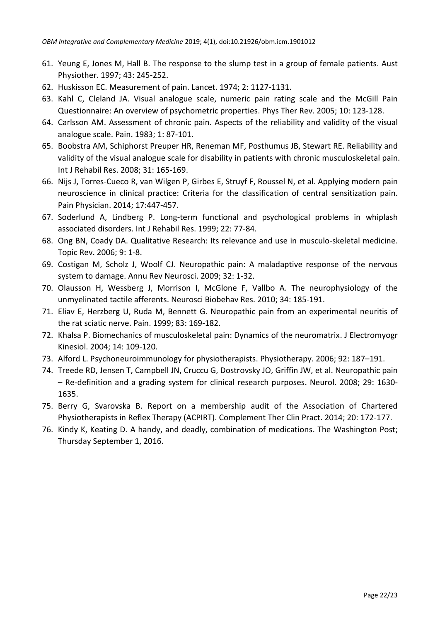- 61. Yeung E, Jones M, Hall B. The response to the slump test in a group of female patients. Aust Physiother. 1997; 43: 245-252.
- 62. Huskisson EC. Measurement of pain. Lancet. 1974; 2: 1127-1131.
- 63. Kahl C, Cleland JA. Visual analogue scale, numeric pain rating scale and the McGill Pain Questionnaire: An overview of psychometric properties. Phys Ther Rev. 2005; 10: 123-128.
- 64. Carlsson AM. Assessment of chronic pain. Aspects of the reliability and validity of the visual analogue scale. Pain. 1983; 1: 87-101.
- 65. Boobstra AM, Schiphorst Preuper HR, Reneman MF, Posthumus JB, Stewart RE. Reliability and validity of the visual analogue scale for disability in patients with chronic musculoskeletal pain. Int J Rehabil Res. 2008; 31: 165-169.
- 66. Nijs J, Torres-Cueco R, van Wilgen P, Girbes E, Struyf F, Roussel N, et al. Applying modern pain neuroscience in clinical practice: Criteria for the classification of central sensitization pain. Pain Physician. 2014; 17:447-457.
- 67. Soderlund A, Lindberg P. Long-term functional and psychological problems in whiplash associated disorders. Int J Rehabil Res. 1999; 22: 77-84.
- 68. Ong BN, Coady DA. Qualitative Research: Its relevance and use in musculo-skeletal medicine. Topic Rev. 2006; 9: 1-8.
- 69. Costigan M, Scholz J, Woolf CJ. Neuropathic pain: A maladaptive response of the nervous system to damage. Annu Rev Neurosci. 2009; 32: 1-32.
- 70. Olausson H, Wessberg J, Morrison I, McGlone F, Vallbo A. The neurophysiology of the unmyelinated tactile afferents. Neurosci Biobehav Res. 2010; 34: 185-191.
- 71. Eliav E, Herzberg U, Ruda M, Bennett G. Neuropathic pain from an experimental neuritis of the rat sciatic nerve. Pain. 1999; 83: 169-182.
- 72. Khalsa P. Biomechanics of musculoskeletal pain: Dynamics of the neuromatrix. J Electromyogr Kinesiol. 2004; 14: 109-120.
- 73. Alford L. Psychoneuroimmunology for physiotherapists. Physiotherapy. 2006; 92: 187–191.
- 74. Treede RD, Jensen T, Campbell JN, Cruccu G, Dostrovsky JO, Griffin JW, et al. Neuropathic pain – Re-definition and a grading system for clinical research purposes. Neurol. 2008; 29: 1630- 1635.
- 75. Berry G, Svarovska B. Report on a membership audit of the Association of Chartered Physiotherapists in Reflex Therapy (ACPIRT). Complement Ther Clin Pract. 2014; 20: 172-177.
- 76. Kindy K, Keating D. A handy, and deadly, combination of medications. The Washington Post; Thursday September 1, 2016.